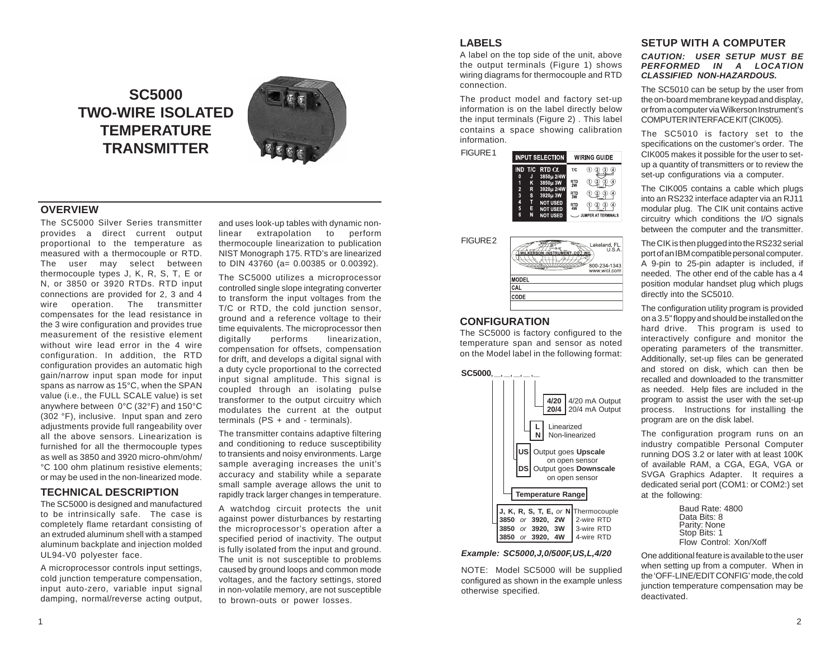# **SC5000 TWO-WIRE ISOLATED TEMPERATURE TRANSMITTER**



## **OVERVIEW**

The SC5000 Silver Series transmitter provides a direct current output proportional to the temperature as measured with a thermocouple or RTD. The user may select between thermocouple types J, K, R, S, T, E or N, or 3850 or 3920 RTDs. RTD input connections are provided for 2, 3 and 4 wire operation. The transmitter compensates for the lead resistance in the 3 wire configuration and provides true measurement of the resistive element without wire lead error in the 4 wire configuration. In addition, the RTD configuration provides an automatic high gain/narrow input span mode for input spans as narrow as 15°C, when the SPAN value (i.e., the FULL SCALE value) is set anywhere between 0°C (32°F) and 150°C (302 °F), inclusive. Input span and zero adjustments provide full rangeability over all the above sensors. Linearization is furnished for all the thermocouple types as well as 3850 and 3920 micro-ohm/ohm/ °C 100 ohm platinum resistive elements; or may be used in the non-linearized mode.

## **TECHNICAL DESCRIPTION**

The SC5000 is designed and manufactured to be intrinsically safe. The case is completely flame retardant consisting of an extruded aluminum shell with a stamped aluminum backplate and injection molded UL94-V0 polyester face.

A microprocessor controls input settings, cold junction temperature compensation, input auto-zero, variable input signal damping, normal/reverse acting output, and uses look-up tables with dynamic nonlinear extrapolation to perform thermocouple linearization to publication NIST Monograph 175. RTD's are linearized to DIN 43760 (a= 0.00385 or 0.00392).

The SC5000 utilizes a microprocessor controlled single slope integrating converter to transform the input voltages from the T/C or RTD, the cold junction sensor, ground and a reference voltage to their time equivalents. The microprocessor then<br>digitally performs linearization. digitally performs linearization. compensation for offsets, compensation for drift, and develops a digital signal with a duty cycle proportional to the corrected input signal amplitude. This signal is coupled through an isolating pulse transformer to the output circuitry which modulates the current at the output terminals (PS + and - terminals).

The transmitter contains adaptive filtering and conditioning to reduce susceptibility to transients and noisy environments. Large sample averaging increases the unit's accuracy and stability while a separate small sample average allows the unit to rapidly track larger changes in temperature.

A watchdog circuit protects the unit against power disturbances by restarting the microprocessor's operation after a specified period of inactivity. The output is fully isolated from the input and ground. The unit is not susceptible to problems caused by ground loops and common mode voltages, and the factory settings, stored in non-volatile memory, are not susceptible to brown-outs or power losses.

## **LABELS**

**FIGURE** 

A label on the top side of the unit, above the output terminals (Figure 1) shows wiring diagrams for thermocouple and RTD connection.

The product model and factory set-up information is on the label directly below the input terminals (Figure 2) . This label contains a space showing calibration information.

| <b>INPUT SELECTION</b> |        |                                    | <b>WIRING GUIDE</b> |                |  |
|------------------------|--------|------------------------------------|---------------------|----------------|--|
| <b>IND</b>             |        | T/C RTD $\alpha$                   | T/C                 |                |  |
| 0<br>1                 | J<br>κ | 3850µ 2/4W<br>3850u 3W             | RTD<br>2W           | 4)             |  |
| $\overline{c}$<br>3    | R<br>s | 3920µ 2/4W<br>3920µ 3W             | RTD<br>3W           | $\overline{4}$ |  |
| 4<br>5                 | π<br>E | <b>NOT USED</b><br><b>NOT USED</b> | RTD<br>4W           | $\overline{4}$ |  |
| Ā                      | M      | MOT HOED                           |                     | <b>111110C</b> |  |



## **CONFIGURATION**

The SC5000 is factory configured to the temperature span and sensor as noted on the Model label in the following format:



#### *Example: SC5000,J,0/500F,US,L,4/20*

NOTE: Model SC5000 will be supplied configured as shown in the example unless otherwise specified.

#### **SETUP WITH A COMPUTER** *CAUTION: USER SETUP MUST BE PERFORMED IN A LOCATION CLASSIFIED NON-HAZARDOUS.*

The SC5010 can be setup by the user from the on-board membrane keypad and display, or from a computer via Wilkerson Instrument's COMPUTER INTERFACE KIT (CIK005).

The SC5010 is factory set to the specifications on the customer's order. The CIK005 makes it possible for the user to setup a quantity of transmitters or to review the set-up configurations via a computer.

The CIK005 contains a cable which plugs into an RS232 interface adapter via an RJ11 modular plug. The CIK unit contains active circuitry which conditions the I/O signals between the computer and the transmitter.

The CIK is then plugged into the RS232 serial port of an IBM compatible personal computer. A 9-pin to 25-pin adapter is included, if needed. The other end of the cable has a 4 position modular handset plug which plugs directly into the SC5010.

The configuration utility program is provided on a 3.5" floppy and should be installed on the hard drive. This program is used to interactively configure and monitor the operating parameters of the transmitter. Additionally, set-up files can be generated and stored on disk, which can then be recalled and downloaded to the transmitter as needed. Help files are included in the program to assist the user with the set-up process. Instructions for installing the program are on the disk label.

The configuration program runs on an industry compatible Personal Computer running DOS 3.2 or later with at least 100K of available RAM, a CGA, EGA, VGA or SVGA Graphics Adapter. It requires a dedicated serial port (COM1: or COM2:) set at the following:

> Baud Rate: 4800 Data Bits: 8 Parity: None Stop Bits: 1 Flow Control: Xon/Xoff

One additional feature is available to the user when setting up from a computer. When in the 'OFF-LINE/EDIT CONFIG' mode, the cold junction temperature compensation may be deactivated.